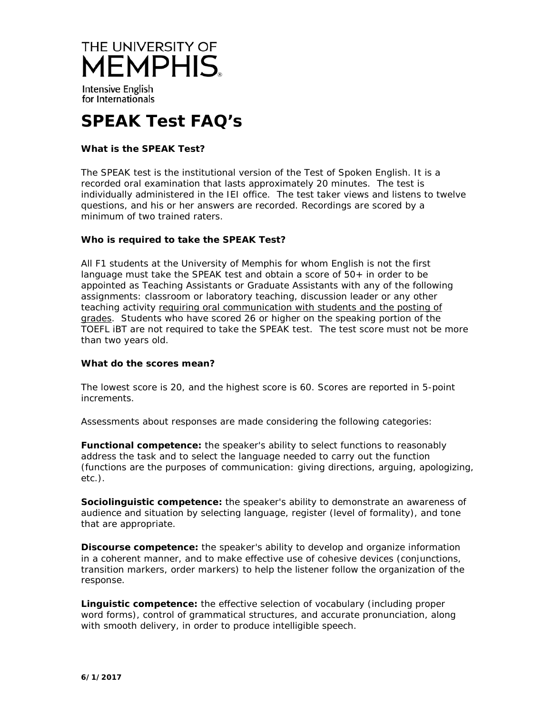

Intensive English for Internationals

# **SPEAK Test FAQ's**

# **What is the SPEAK Test?**

The SPEAK test is the institutional version of the Test of Spoken English. It is a recorded oral examination that lasts approximately 20 minutes. The test is individually administered in the IEI office. The test taker views and listens to twelve questions, and his or her answers are recorded. Recordings are scored by a minimum of two trained raters.

## **Who is required to take the SPEAK Test?**

All F1 students at the University of Memphis for whom English is not the first language must take the SPEAK test and obtain a score of  $50+$  in order to be appointed as Teaching Assistants or Graduate Assistants with any of the following assignments: classroom or laboratory teaching, discussion leader or any other teaching activity requiring oral communication with students and the posting of grades. Students who have scored 26 or higher on the speaking portion of the TOEFL iBT are not required to take the SPEAK test. The test score must not be more than two years old.

## **What do the scores mean?**

The lowest score is 20, and the highest score is 60. Scores are reported in 5-point increments.

Assessments about responses are made considering the following categories:

**Functional competence:** the speaker's ability to select functions to reasonably address the task and to select the language needed to carry out the function (functions are the purposes of communication: giving directions, arguing, apologizing, etc.).

**Sociolinguistic competence:** the speaker's ability to demonstrate an awareness of audience and situation by selecting language, register (level of formality), and tone that are appropriate.

**Discourse competence:** the speaker's ability to develop and organize information in a coherent manner, and to make effective use of cohesive devices (conjunctions, transition markers, order markers) to help the listener follow the organization of the response.

**Linguistic competence:** the effective selection of vocabulary (including proper word forms), control of grammatical structures, and accurate pronunciation, along with smooth delivery, in order to produce intelligible speech.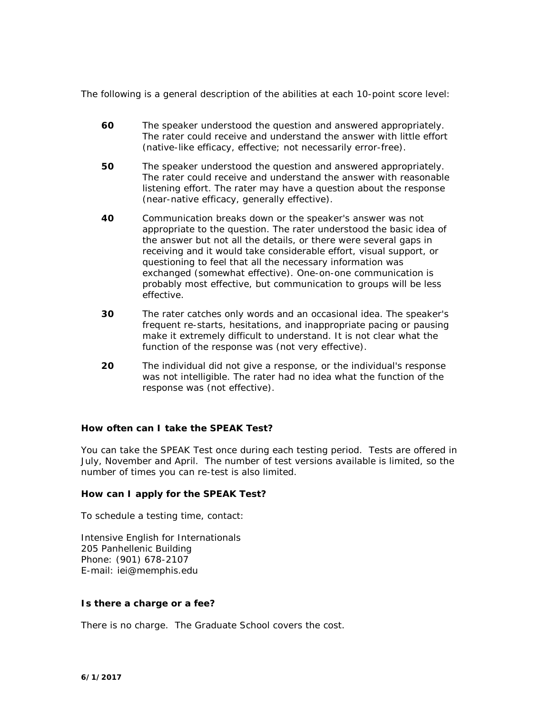The following is a general description of the abilities at each 10-point score level:

- **60** The speaker understood the question and answered appropriately. The rater could receive and understand the answer with little effort (native-like efficacy, effective; not necessarily error-free).
- **50** The speaker understood the question and answered appropriately. The rater could receive and understand the answer with reasonable listening effort. The rater may have a question about the response (near-native efficacy, generally effective).
- **40** Communication breaks down or the speaker's answer was not appropriate to the question. The rater understood the basic idea of the answer but not all the details, or there were several gaps in receiving and it would take considerable effort, visual support, or questioning to feel that all the necessary information was exchanged (somewhat effective). One-on-one communication is probably most effective, but communication to groups will be less effective.
- **30** The rater catches only words and an occasional idea. The speaker's frequent re-starts, hesitations, and inappropriate pacing or pausing make it extremely difficult to understand. It is not clear what the function of the response was (not very effective).
- **20** The individual did not give a response, or the individual's response was not intelligible. The rater had no idea what the function of the response was (not effective).

## **How often can I take the SPEAK Test?**

You can take the SPEAK Test once during each testing period. Tests are offered in July, November and April. The number of test versions available is limited, so the number of times you can re-test is also limited.

## **How can I apply for the SPEAK Test?**

To schedule a testing time, contact:

Intensive English for Internationals 205 Panhellenic Building Phone: (901) 678-2107 E-mail: [iei@memphis.edu](mailto:gsong@memphis.edu)

## **Is there a charge or a fee?**

There is no charge. The Graduate School covers the cost.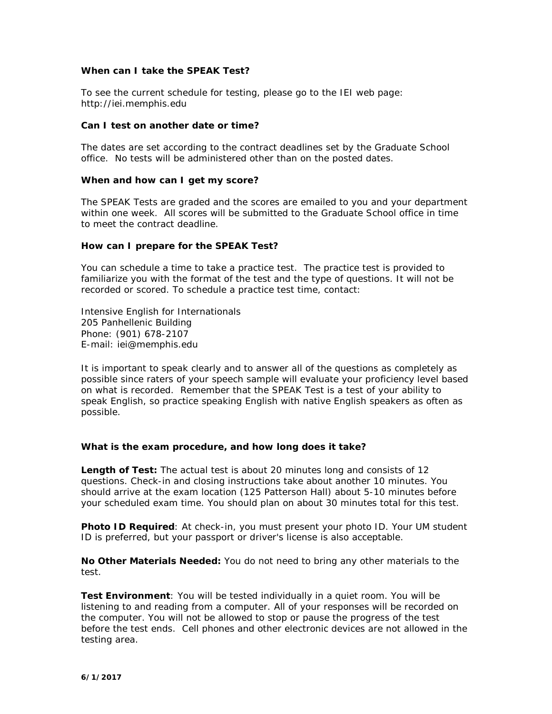## **When can I take the SPEAK Test?**

To see the current schedule for testing, please go to the IEI web page: http://iei.memphis.edu

## **Can I test on another date or time?**

The dates are set according to the contract deadlines set by the Graduate School office. No tests will be administered other than on the posted dates.

## **When and how can I get my score?**

The SPEAK Tests are graded and the scores are emailed to you and your department within one week. All scores will be submitted to the Graduate School office in time to meet the contract deadline.

## **How can I prepare for the SPEAK Test?**

You can schedule a time to take a practice test. The practice test is provided to familiarize you with the format of the test and the type of questions. It will not be recorded or scored. To schedule a practice test time, contact:

Intensive English for Internationals 205 Panhellenic Building Phone: (901) 678-2107 E-mail: [iei@memphis.edu](mailto:gsong@memphis.edu)

It is important to speak clearly and to answer all of the questions as completely as possible since raters of your speech sample will evaluate your proficiency level based on what is recorded. Remember that the SPEAK Test is a test of your ability to speak English, so practice speaking English with native English speakers as often as possible.

## **What is the exam procedure, and how long does it take?**

**Length of Test:** The actual test is about 20 minutes long and consists of 12 questions. Check-in and closing instructions take about another 10 minutes. You should arrive at the exam location (125 Patterson Hall) about 5-10 minutes before your scheduled exam time. You should plan on about 30 minutes total for this test.

**Photo ID Required**: At check-in, you must present your photo ID. Your UM student ID is preferred, but your passport or driver's license is also acceptable.

**No Other Materials Needed:** You do not need to bring any other materials to the test.

**Test Environment**: You will be tested individually in a quiet room. You will be listening to and reading from a computer. All of your responses will be recorded on the computer. You will not be allowed to stop or pause the progress of the test before the test ends. Cell phones and other electronic devices are not allowed in the testing area.